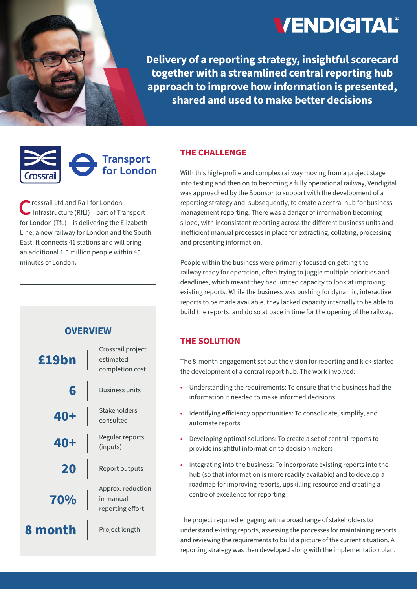

**Delivery of a reporting strategy, insightful scorecard together with a streamlined central reporting hub approach to improve how information is presented, shared and used to make better decisions**

# **Transport** for London 'rossrail

C rossrail Ltd and Rail for London<br>
Infrastructure (RfLI) – part of Transport<br>  $\frac{1}{2}$ for London (TfL) – is delivering the Elizabeth Line, a new railway for London and the South East. It connects 41 stations and will bring an additional 1.5 million people within 45 minutes of London**.**



### **THE CHALLENGE**

With this high-profile and complex railway moving from a project stage into testing and then on to becoming a fully operational railway, Vendigital was approached by the Sponsor to support with the development of a reporting strategy and, subsequently, to create a central hub for business management reporting. There was a danger of information becoming siloed, with inconsistent reporting across the different business units and inefficient manual processes in place for extracting, collating, processing and presenting information.

People within the business were primarily focused on getting the railway ready for operation, often trying to juggle multiple priorities and deadlines, which meant they had limited capacity to look at improving existing reports. While the business was pushing for dynamic, interactive reports to be made available, they lacked capacity internally to be able to build the reports, and do so at pace in time for the opening of the railway.

## **THE SOLUTION**

The 8-month engagement set out the vision for reporting and kick-started the development of a central report hub. The work involved:

- **•** Understanding the requirements: To ensure that the business had the information it needed to make informed decisions
- **•** Identifying efficiency opportunities: To consolidate, simplify, and automate reports
- **•** Developing optimal solutions: To create a set of central reports to provide insightful information to decision makers
- **•** Integrating into the business: To incorporate existing reports into the hub (so that information is more readily available) and to develop a roadmap for improving reports, upskilling resource and creating a centre of excellence for reporting

The project required engaging with a broad range of stakeholders to understand existing reports, assessing the processes for maintaining reports and reviewing the requirements to build a picture of the current situation. A reporting strategy was then developed along with the implementation plan.